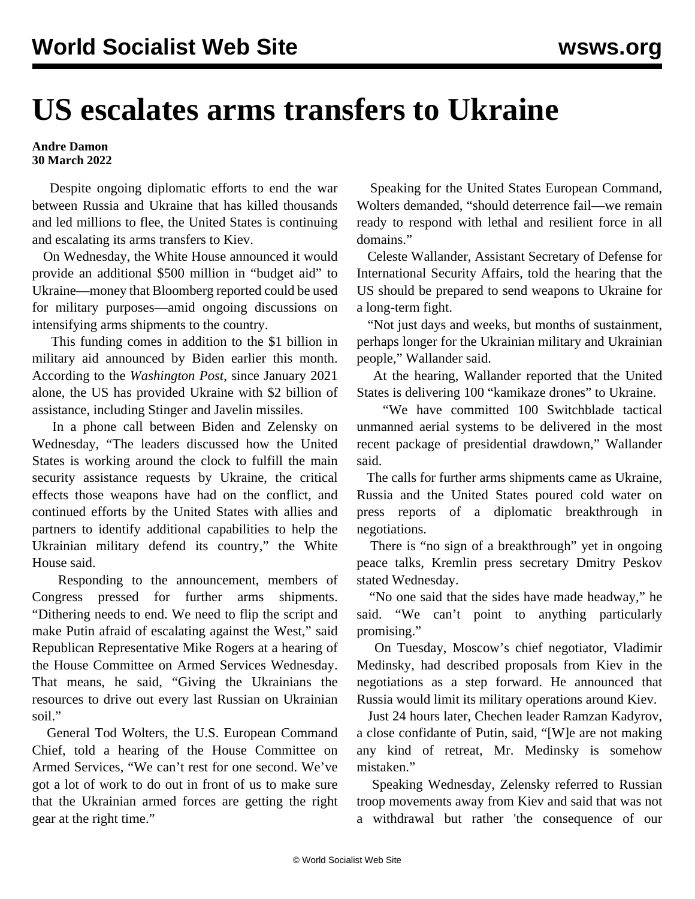## **US escalates arms transfers to Ukraine**

**Andre Damon 30 March 2022**

 Despite ongoing diplomatic efforts to end the war between Russia and Ukraine that has killed thousands and led millions to flee, the United States is continuing and escalating its arms transfers to Kiev.

 On Wednesday, the White House announced it would provide an additional \$500 million in "budget aid" to Ukraine—money that Bloomberg reported could be used for military purposes—amid ongoing discussions on intensifying arms shipments to the country.

 This funding comes in addition to the \$1 billion in military aid announced by Biden earlier this month. According to the *Washington Post*, since January 2021 alone, the US has provided Ukraine with \$2 billion of assistance, including Stinger and Javelin missiles.

 In a phone call between Biden and Zelensky on Wednesday, "The leaders discussed how the United States is working around the clock to fulfill the main security assistance requests by Ukraine, the critical effects those weapons have had on the conflict, and continued efforts by the United States with allies and partners to identify additional capabilities to help the Ukrainian military defend its country," the White House said.

 Responding to the announcement, members of Congress pressed for further arms shipments. "Dithering needs to end. We need to flip the script and make Putin afraid of escalating against the West," said Republican Representative Mike Rogers at a hearing of the House Committee on Armed Services Wednesday. That means, he said, "Giving the Ukrainians the resources to drive out every last Russian on Ukrainian soil."

 General Tod Wolters, the U.S. European Command Chief, told a hearing of the House Committee on Armed Services, "We can't rest for one second. We've got a lot of work to do out in front of us to make sure that the Ukrainian armed forces are getting the right gear at the right time."

 Speaking for the United States European Command, Wolters demanded, "should deterrence fail—we remain ready to respond with lethal and resilient force in all domains."

 Celeste Wallander, Assistant Secretary of Defense for International Security Affairs, told the hearing that the US should be prepared to send weapons to Ukraine for a long-term fight.

 "Not just days and weeks, but months of sustainment, perhaps longer for the Ukrainian military and Ukrainian people," Wallander said.

 At the hearing, Wallander reported that the United States is delivering 100 "kamikaze drones" to Ukraine.

 "We have committed 100 Switchblade tactical unmanned aerial systems to be delivered in the most recent package of presidential drawdown," Wallander said.

 The calls for further arms shipments came as Ukraine, Russia and the United States poured cold water on press reports of a diplomatic breakthrough in negotiations.

 There is "no sign of a breakthrough" yet in ongoing peace talks, Kremlin press secretary Dmitry Peskov stated Wednesday.

 "No one said that the sides have made headway," he said. "We can't point to anything particularly promising."

 On Tuesday, Moscow's chief negotiator, Vladimir Medinsky, had described proposals from Kiev in the negotiations as a step forward. He announced that Russia would limit its military operations around Kiev.

 Just 24 hours later, Chechen leader Ramzan Kadyrov, a close confidante of Putin, said, "[W]e are not making any kind of retreat, Mr. Medinsky is somehow mistaken."

 Speaking Wednesday, Zelensky referred to Russian troop movements away from Kiev and said that was not a withdrawal but rather 'the consequence of our